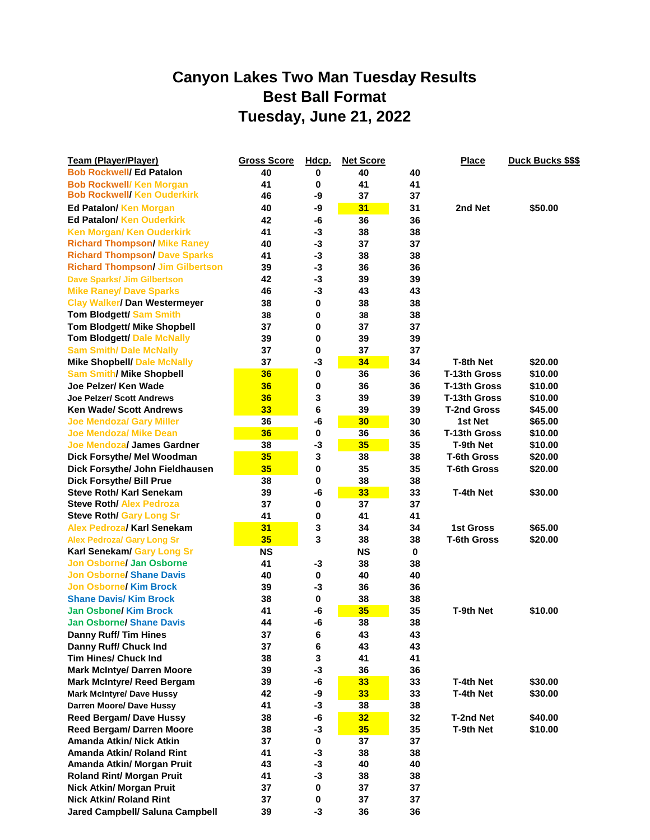## **Canyon Lakes Two Man Tuesday Results Best Ball Format Tuesday, June 21, 2022**

| Team (Player/Player)                    | <b>Gross Score</b> | Hdcp.       | <b>Net Score</b> |    | <b>Place</b>       | <b>Duck Bucks \$\$\$</b> |
|-----------------------------------------|--------------------|-------------|------------------|----|--------------------|--------------------------|
| <b>Bob Rockwell/ Ed Patalon</b>         | 40                 | 0           | 40               | 40 |                    |                          |
| <b>Bob Rockwell/ Ken Morgan</b>         | 41                 | 0           | 41               | 41 |                    |                          |
| <b>Bob Rockwell/ Ken Ouderkirk</b>      | 46                 | -9          | 37               | 37 |                    |                          |
| Ed Patalon/ Ken Morgan                  | 40                 | -9          | 31               | 31 | 2nd Net            | \$50.00                  |
| <b>Ed Patalon/ Ken Ouderkirk</b>        | 42                 | -6          | 36               | 36 |                    |                          |
| <b>Ken Morgan/ Ken Ouderkirk</b>        | 41                 | $-3$        | 38               | 38 |                    |                          |
| <b>Richard Thompson/ Mike Raney</b>     | 40                 | $-3$        | 37               | 37 |                    |                          |
| <b>Richard Thompson/ Dave Sparks</b>    | 41                 | $-3$        | 38               | 38 |                    |                          |
| <b>Richard Thompson/ Jim Gilbertson</b> | 39                 | $-3$        | 36               | 36 |                    |                          |
| <b>Dave Sparks/ Jim Gilbertson</b>      | 42                 | $-3$        | 39               | 39 |                    |                          |
| <b>Mike Raney/ Dave Sparks</b>          | 46                 | $-3$        | 43               | 43 |                    |                          |
| <b>Clay Walker/ Dan Westermeyer</b>     | 38                 | $\bf{0}$    | 38               | 38 |                    |                          |
| <b>Tom Blodgett/ Sam Smith</b>          | 38                 | 0           | 38               | 38 |                    |                          |
| <b>Tom Blodgett/ Mike Shopbell</b>      | 37                 | 0           | 37               | 37 |                    |                          |
| <b>Tom Blodgett/ Dale McNally</b>       | 39                 | 0           | 39               | 39 |                    |                          |
| <b>Sam Smith/ Dale McNally</b>          | 37                 | 0           | 37               | 37 |                    |                          |
| <b>Mike Shopbell/ Dale McNally</b>      | 37                 | $-3$        | 34               | 34 | T-8th Net          | \$20.00                  |
| <b>Sam Smith/ Mike Shopbell</b>         | 36                 | 0           | 36               | 36 | T-13th Gross       | \$10.00                  |
| Joe Pelzer/ Ken Wade                    | 36                 | 0           | 36               | 36 | T-13th Gross       | \$10.00                  |
| <b>Joe Pelzer/ Scott Andrews</b>        | 36                 | 3           | 39               | 39 | T-13th Gross       | \$10.00                  |
| <b>Ken Wade/ Scott Andrews</b>          | 33                 | 6           | 39               | 39 | <b>T-2nd Gross</b> | \$45.00                  |
| <b>Joe Mendoza/ Gary Miller</b>         | 36                 | -6          | 30               | 30 | 1st Net            | \$65.00                  |
| <b>Joe Mendoza/ Mike Dean</b>           | 36                 | $\bf{0}$    | 36               | 36 | T-13th Gross       | \$10.00                  |
| Joe Mendoza/ James Gardner              | 38                 | $-3$        | 35               | 35 | T-9th Net          | \$10.00                  |
| Dick Forsythe/ Mel Woodman              | 35                 | 3           | 38               | 38 | <b>T-6th Gross</b> | \$20.00                  |
| Dick Forsythe/ John Fieldhausen         | 35                 | 0           | 35               | 35 | <b>T-6th Gross</b> | \$20.00                  |
| <b>Dick Forsythe/ Bill Prue</b>         | 38                 | 0           | 38               | 38 |                    |                          |
| <b>Steve Roth/ Karl Senekam</b>         | 39                 | -6          | 33               | 33 | T-4th Net          | \$30.00                  |
| <b>Steve Roth/ Alex Pedroza</b>         | 37                 | $\mathbf 0$ | 37               | 37 |                    |                          |
| Steve Roth/ Gary Long Sr                | 41                 | 0           | 41               | 41 |                    |                          |
| Alex Pedroza/ Karl Senekam              | 31                 | 3           | 34               | 34 | <b>1st Gross</b>   | \$65.00                  |
| <b>Alex Pedroza/ Gary Long Sr</b>       | 35                 | 3           | 38               | 38 | <b>T-6th Gross</b> | \$20.00                  |
| Karl Senekam/ Gary Long Sr              | <b>NS</b>          |             | <b>NS</b>        | 0  |                    |                          |
| Jon Osborne/ Jan Osborne                | 41                 | -3          | 38               | 38 |                    |                          |
| <b>Jon Osborne/ Shane Davis</b>         | 40                 | $\pmb{0}$   | 40               | 40 |                    |                          |
| <b>Jon Osborne/ Kim Brock</b>           | 39                 | -3          | 36               | 36 |                    |                          |
| <b>Shane Davis/ Kim Brock</b>           | 38                 | $\bf{0}$    | 38               | 38 |                    |                          |
| <b>Jan Osbone/ Kim Brock</b>            | 41                 | -6          | 35               | 35 | <b>T-9th Net</b>   | \$10.00                  |
| <b>Jan Osborne/ Shane Davis</b>         | 44                 | -6          | 38               | 38 |                    |                          |
| Danny Ruff/Tim Hines                    | 37                 | 6           | 43               | 43 |                    |                          |
| Danny Ruff/ Chuck Ind                   | 37                 | 6           | 43               | 43 |                    |                          |
| <b>Tim Hines/ Chuck Ind</b>             | 38                 | ${\bf 3}$   | 41               | 41 |                    |                          |
| <b>Mark McIntye/ Darren Moore</b>       | 39                 | $-3$        | 36               | 36 |                    |                          |
| <b>Mark McIntyre/ Reed Bergam</b>       | 39                 | -6          | 33               | 33 | T-4th Net          | \$30.00                  |
| <b>Mark McIntyre/ Dave Hussy</b>        | 42                 | -9          | 33               | 33 | T-4th Net          | \$30.00                  |
| Darren Moore/ Dave Hussy                | 41                 | $-3$        | 38               | 38 |                    |                          |
| <b>Reed Bergam/Dave Hussy</b>           | 38                 | -6          | 32               | 32 | T-2nd Net          | \$40.00                  |
| <b>Reed Bergam/ Darren Moore</b>        | 38                 | $-3$        | 35               | 35 | T-9th Net          | \$10.00                  |
| Amanda Atkin/ Nick Atkin                | 37                 | $\mathbf 0$ | 37               | 37 |                    |                          |
| Amanda Atkin/ Roland Rint               | 41                 | $-3$        | 38               | 38 |                    |                          |
| Amanda Atkin/ Morgan Pruit              | 43                 | $-3$        | 40               | 40 |                    |                          |
| <b>Roland Rint/ Morgan Pruit</b>        | 41                 | $-3$        | 38               | 38 |                    |                          |
| <b>Nick Atkin/ Morgan Pruit</b>         | 37                 | 0           | 37               | 37 |                    |                          |
| <b>Nick Atkin/ Roland Rint</b>          | 37                 | 0           | 37               | 37 |                    |                          |
| Jared Campbell/ Saluna Campbell         | 39                 | $-3$        | 36               | 36 |                    |                          |